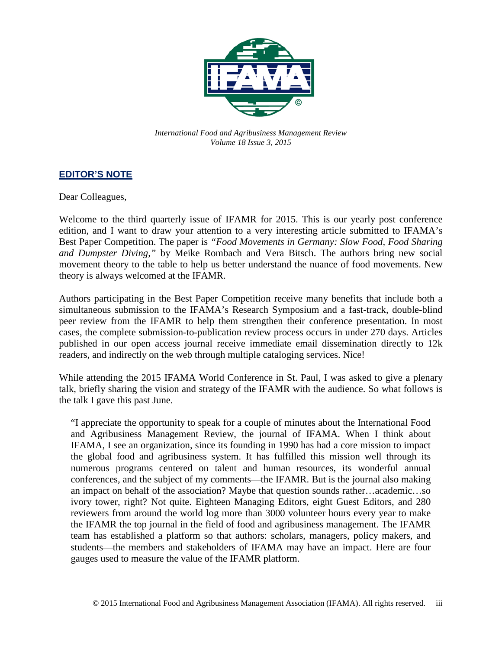

*International Food and Agribusiness Management Review Volume 18 Issue 3, 2015*

## **EDITOR'S NOTE**

Dear Colleagues,

Welcome to the third quarterly issue of IFAMR for 2015. This is our yearly post conference edition, and I want to draw your attention to a very interesting article submitted to IFAMA's Best Paper Competition. The paper is *"Food Movements in Germany: Slow Food, Food Sharing and Dumpster Diving,"* by Meike Rombach and Vera Bitsch. The authors bring new social movement theory to the table to help us better understand the nuance of food movements. New theory is always welcomed at the IFAMR.

Authors participating in the Best Paper Competition receive many benefits that include both a simultaneous submission to the IFAMA's Research Symposium and a fast-track, double-blind peer review from the IFAMR to help them strengthen their conference presentation. In most cases, the complete submission-to-publication review process occurs in under 270 days. Articles published in our open access journal receive immediate email dissemination directly to 12k readers, and indirectly on the web through multiple cataloging services. Nice!

While attending the 2015 IFAMA World Conference in St. Paul, I was asked to give a plenary talk, briefly sharing the vision and strategy of the IFAMR with the audience. So what follows is the talk I gave this past June.

"I appreciate the opportunity to speak for a couple of minutes about the International Food and Agribusiness Management Review, the journal of IFAMA. When I think about IFAMA, I see an organization, since its founding in 1990 has had a core mission to impact the global food and agribusiness system. It has fulfilled this mission well through its numerous programs centered on talent and human resources, its wonderful annual conferences, and the subject of my comments—the IFAMR. But is the journal also making an impact on behalf of the association? Maybe that question sounds rather…academic…so ivory tower, right? Not quite. Eighteen Managing Editors, eight Guest Editors, and 280 reviewers from around the world log more than 3000 volunteer hours every year to make the IFAMR the top journal in the field of food and agribusiness management. The IFAMR team has established a platform so that authors: scholars, managers, policy makers, and students—the members and stakeholders of IFAMA may have an impact. Here are four gauges used to measure the value of the IFAMR platform.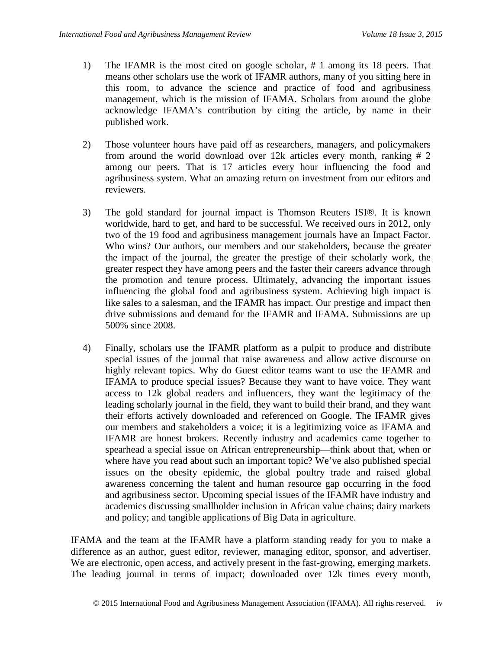- 1) The IFAMR is the most cited on google scholar, # 1 among its 18 peers. That means other scholars use the work of IFAMR authors, many of you sitting here in this room, to advance the science and practice of food and agribusiness management, which is the mission of IFAMA. Scholars from around the globe acknowledge IFAMA's contribution by citing the article, by name in their published work.
- 2) Those volunteer hours have paid off as researchers, managers, and policymakers from around the world download over 12k articles every month, ranking # 2 among our peers. That is 17 articles every hour influencing the food and agribusiness system. What an amazing return on investment from our editors and reviewers.
- 3) The gold standard for journal impact is Thomson Reuters ISI®. It is known worldwide, hard to get, and hard to be successful. We received ours in 2012, only two of the 19 food and agribusiness management journals have an Impact Factor. Who wins? Our authors, our members and our stakeholders, because the greater the impact of the journal, the greater the prestige of their scholarly work, the greater respect they have among peers and the faster their careers advance through the promotion and tenure process. Ultimately, advancing the important issues influencing the global food and agribusiness system. Achieving high impact is like sales to a salesman, and the IFAMR has impact. Our prestige and impact then drive submissions and demand for the IFAMR and IFAMA. Submissions are up 500% since 2008.
- 4) Finally, scholars use the IFAMR platform as a pulpit to produce and distribute special issues of the journal that raise awareness and allow active discourse on highly relevant topics. Why do Guest editor teams want to use the IFAMR and IFAMA to produce special issues? Because they want to have voice. They want access to 12k global readers and influencers, they want the legitimacy of the leading scholarly journal in the field, they want to build their brand, and they want their efforts actively downloaded and referenced on Google. The IFAMR gives our members and stakeholders a voice; it is a legitimizing voice as IFAMA and IFAMR are honest brokers. Recently industry and academics came together to spearhead a special issue on African entrepreneurship—think about that, when or where have you read about such an important topic? We've also published special issues on the obesity epidemic, the global poultry trade and raised global awareness concerning the talent and human resource gap occurring in the food and agribusiness sector. Upcoming special issues of the IFAMR have industry and academics discussing smallholder inclusion in African value chains; dairy markets and policy; and tangible applications of Big Data in agriculture.

IFAMA and the team at the IFAMR have a platform standing ready for you to make a difference as an author, guest editor, reviewer, managing editor, sponsor, and advertiser. We are electronic, open access, and actively present in the fast-growing, emerging markets. The leading journal in terms of impact; downloaded over 12k times every month,